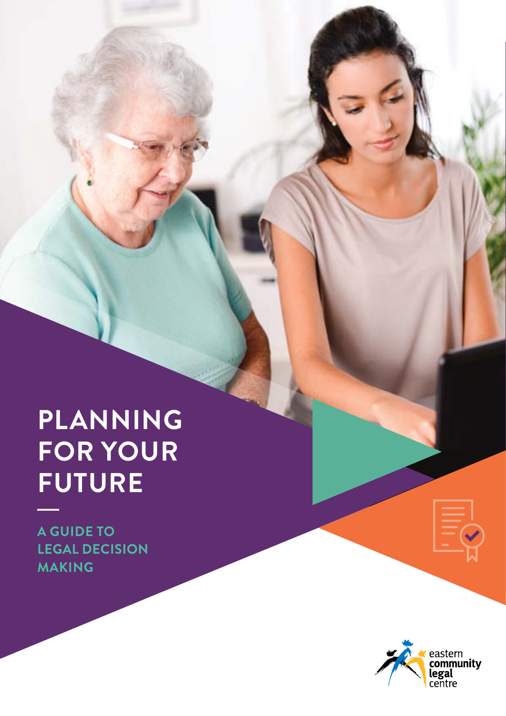# **PLANNING FOR YOUR FUTURE**

**A GUIDE TO LEGAL DECISION MAKING**

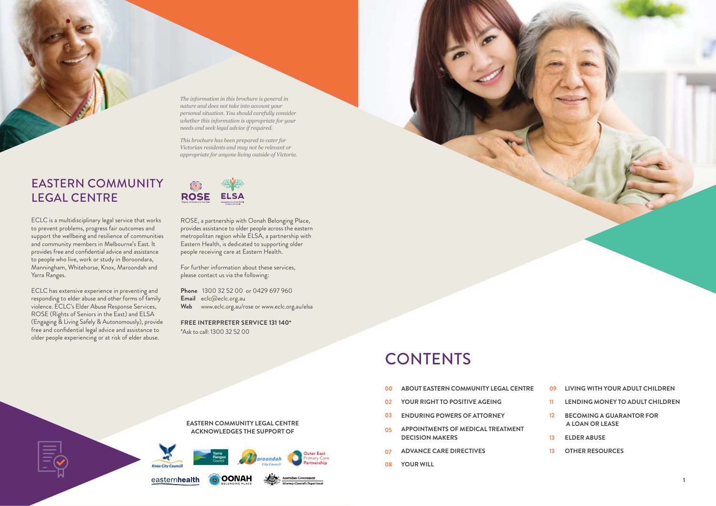- person by a person contrust (for example, for example,  $\epsilon$ <mark>00 ABOUT EASTERN COMMUNITY LEGAL CENTRE</mark> **00**
- **22 YOUR RIGHT TO POSITIVE AGEING 02**
- **ENDURING POWERS OF ATTORNEY 03**
- Financial elder abuse is the use of an older person's property, 05 APPOINTMENTS OF MEDICAL TREATMENT **DECISION MAKERS 05**
- $\bullet$   $\bullet$  DVANCE CADE DIDECTIVES <mark>07</mark> ADVANCE CARE DIRECTIVES **07**
- **YOUR WILL 08**



- bank account; ongoing requests for money where you can't say no; feeling pressure or urgency to sign a legal document **LIVING WITH YOUR ADULT CHILDREN 09**
- **11 LENDING MONEY TO ADULT CHILDREN 11**
- 12 BECOMING A GUARANTOR FOR  **A LOAN OR LEASE 12**
- to understand your situation and support you through a **ELDER ABUSE 13**
- $\overline{a}$  other permission and  $\overline{a}$ 13 OTHER RESOURCES **13**



## **CONTENTS**

ECLC is a multidisciplinary legal service that works to prevent problems, progress fair outcomes and support the wellbeing and resilience of communities and community members in Melbourne's East. It provides free and confidential advice and assistance to people who live, work or study in Boroondara, Manningham, Whitehorse, Knox, Maroondah and Yarra Ranges.

ECLC has extensive experience in preventing and responding to elder abuse and other forms of family violence. ECLC's Elder Abuse Response Services, ROSE (Rights of Seniors in the East) and ELSA (Engaging & Living Safely & Autonomously), provide free and confidential legal advice and assistance to older people experiencing or at risk of elder abuse.

ROSE, a partnership with Oonah Belonging Place, provides assistance to older people across the eastern metropolitan region while ELSA, a partnership with Eastern Health, is dedicated to supporting older people receiving care at Eastern Health.

For further information about these services, please contact us via the following:

**Phone** 1300 32 52 00 or 0429 697 960 **Email** eclc@eclc.org.au **Web** www.eclc.org.au/rose or www.eclc.org.au/elsa

**FREE INTERPRETER SERVICE 131 140\*** \*Ask to call: 1300 32 52 00



### EASTERN COMMUNITY LEGAL CENTRE

*The information in this brochure is general in nature and does not take into account your personal situation. You should carefully consider whether this information is appropriate for your needs and seek legal advice if required.* 

*This brochure has been prepared to cater for Victorian residents and may not be relevant or appropriate for anyone living outside of Victoria.* 

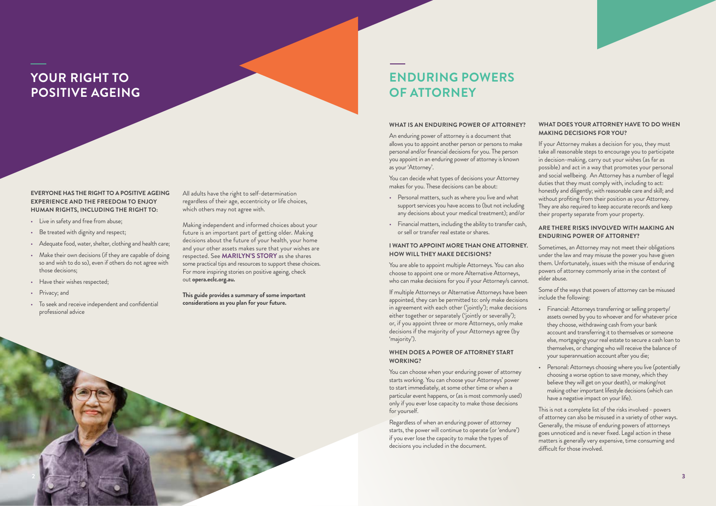#### **EVERYONE HAS THE RIGHT TO A POSITIVE AGEING EXPERIENCE AND THE FREEDOM TO ENJOY HUMAN RIGHTS, INCLUDING THE RIGHT TO:**

- Live in safety and free from abuse;
- Be treated with dignity and respect;
- Adequate food, water, shelter, clothing and health care;
- Make their own decisions (if they are capable of doing so and wish to do so), even if others do not agree with those decisions;
- Have their wishes respected;
- Privacy; and
- To seek and receive independent and confidential professional advice

All adults have the right to self-determination regardless of their age, eccentricity or life choices, which others may not agree with.

Making independent and informed choices about your future is an important part of getting older. Making decisions about the future of your health, your home and your other assets makes sure that your wishes are respected. See **MARILYN'S STORY** as she shares some practical tips and resources to support these choices. For more inspiring stories on positive ageing, check out **opera.eclc.org.au.**

**This guide provides a summary of some important considerations as you plan for your future.** 

### **YOUR RIGHT TO POSITIVE AGEING**

### **ENDURING POWERS OF ATTORNEY**

#### **WHAT IS AN ENDURING POWER OF ATTORNEY?**

An enduring power of attorney is a document that allows you to appoint another person or persons to make personal and/or financial decisions for you. The person you appoint in an enduring power of attorney is known as your 'Attorney'.

You can decide what types of decisions your Attorney makes for you. These decisions can be about:

- Personal matters, such as where you live and what support services you have access to (but not including any decisions about your medical treatment); and/or
- Financial matters, including the ability to transfer cash, or sell or transfer real estate or shares.

#### **I WANT TO APPOINT MORE THAN ONE ATTORNEY. HOW WILL THEY MAKE DECISIONS?**

You are able to appoint multiple Attorneys. You can also choose to appoint one or more Alternative Attorneys, who can make decisions for you if your Attorney/s cannot.

If multiple Attorneys or Alternative Attorneys have been appointed, they can be permitted to: only make decisions in agreement with each other ('jointly'); make decisions either together or separately ('jointly or severally'); or, if you appoint three or more Attorneys, only make decisions if the majority of your Attorneys agree (by 'majority').

#### **WHEN DOES A POWER OF ATTORNEY START WORKING?**

You can choose when your enduring power of attorney starts working. You can choose your Attorneys' power to start immediately, at some other time or when a particular event happens, or (as is most commonly used) only if you ever lose capacity to make those decisions for yourself.

Regardless of when an enduring power of attorney starts, the power will continue to operate (or 'endure') if you ever lose the capacity to make the types of decisions you included in the document.

#### **WHAT DOES YOUR ATTORNEY HAVE TO DO WHEN MAKING DECISIONS FOR YOU?**

If your Attorney makes a decision for you, they must take all reasonable steps to encourage you to participate in decision-making, carry out your wishes (as far as possible) and act in a way that promotes your personal and social wellbeing. An Attorney has a number of legal duties that they must comply with, including to act: honestly and diligently; with reasonable care and skill; and without profiting from their position as your Attorney. They are also required to keep accurate records and keep their property separate from your property.

#### **ARE THERE RISKS INVOLVED WITH MAKING AN ENDURING POWER OF ATTORNEY?**

Sometimes, an Attorney may not meet their obligations under the law and may misuse the power you have given them. Unfortunately, issues with the misuse of enduring powers of attorney commonly arise in the context of elder abuse.

Some of the ways that powers of attorney can be misused include the following:

• Financial: Attorneys transferring or selling property/ assets owned by you to whoever and for whatever price they choose, withdrawing cash from your bank account and transferring it to themselves or someone else, mortgaging your real estate to secure a cash loan to themselves, or changing who will receive the balance of your superannuation account after you die;

• Personal: Attorneys choosing where you live (potentially choosing a worse option to save money, which they believe they will get on your death), or making/not making other important lifestyle decisions (which can have a negative impact on your life).

This is not a complete list of the risks involved - powers of attorney can also be misused in a variety of other ways. Generally, the misuse of enduring powers of attorneys goes unnoticed and is never fixed. Legal action in these matters is generally very expensive, time consuming and difficult for those involved.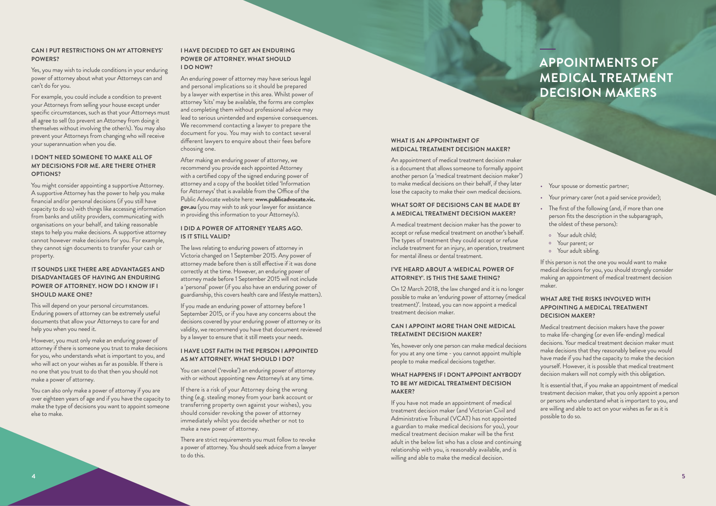### **APPOINTMENTS OF MEDICAL TREATMENT DECISION MAKERS**

#### **CAN I PUT RESTRICTIONS ON MY ATTORNEYS' POWERS?**

Yes, you may wish to include conditions in your enduring power of attorney about what your Attorneys can and can't do for you.

For example, you could include a condition to prevent your Attorneys from selling your house except under specific circumstances, such as that your Attorneys must all agree to sell (to prevent an Attorney from doing it themselves without involving the other/s). You may also prevent your Attorneys from changing who will receive your superannuation when you die.

You might consider appointing a supportive Attorney. A supportive Attorney has the power to help you make financial and/or personal decisions (if you still have capacity to do so) with things like accessing information from banks and utility providers, communicating with organisations on your behalf, and taking reasonable steps to help you make decisions. A supportive attorney cannot however make decisions for you. For example, they cannot sign documents to transfer your cash or property.

#### **I DON'T NEED SOMEONE TO MAKE ALL OF MY DECISIONS FOR ME. ARE THERE OTHER OPTIONS?**

#### **IT SOUNDS LIKE THERE ARE ADVANTAGES AND DISADVANTAGES OF HAVING AN ENDURING POWER OF ATTORNEY. HOW DO I KNOW IF I SHOULD MAKE ONE?**

This will depend on your personal circumstances. Enduring powers of attorney can be extremely useful documents that allow your Attorneys to care for and help you when you need it.

However, you must only make an enduring power of attorney if there is someone you trust to make decisions for you, who understands what is important to you, and who will act on your wishes as far as possible. If there is no one that you trust to do that then you should not make a power of attorney.

You can also only make a power of attorney if you are over eighteen years of age and if you have the capacity to make the type of decisions you want to appoint someone else to make.

#### **I HAVE DECIDED TO GET AN ENDURING POWER OF ATTORNEY. WHAT SHOULD I DO NOW?**

An enduring power of attorney may have serious legal and personal implications so it should be prepared by a lawyer with expertise in this area. Whilst power of attorney 'kits' may be available, the forms are complex and completing them without professional advice may lead to serious unintended and expensive consequences. We recommend contacting a lawyer to prepare the document for you. You may wish to contact several different lawyers to enquire about their fees before choosing one.

After making an enduring power of attorney, we recommend you provide each appointed Attorney with a certified copy of the signed enduring power of attorney and a copy of the booklet titled 'Information for Attorneys' that is available from the Office of the Public Advocate website here: **www.publicadvocate.vic. gov.au** (you may wish to ask your lawyer for assistance in providing this information to your Attorney/s).

#### **I DID A POWER OF ATTORNEY YEARS AGO. IS IT STILL VALID?**

The laws relating to enduring powers of attorney in Victoria changed on 1 September 2015. Any power of attorney made before then is still effective if it was done correctly at the time. However, an enduring power of attorney made before 1 September 2015 will not include a 'personal' power (if you also have an enduring power of guardianship, this covers health care and lifestyle matters).

If you made an enduring power of attorney before 1 September 2015, or if you have any concerns about the decisions covered by your enduring power of attorney or its validity, we recommend you have that document reviewed by a lawyer to ensure that it still meets your needs.

#### **I HAVE LOST FAITH IN THE PERSON I APPOINTED AS MY ATTORNEY. WHAT SHOULD I DO?**

You can cancel ('revoke') an enduring power of attorney with or without appointing new Attorney/s at any time.

If there is a risk of your Attorney doing the wrong thing (e.g. stealing money from your bank account or transferring property own against your wishes), you should consider revoking the power of attorney immediately whilst you decide whether or not to make a new power of attorney.

There are strict requirements you must follow to revoke a power of attorney. You should seek advice from a lawyer to do this.

#### **WHAT IS AN APPOINTMENT OF MEDICAL TREATMENT DECISION MAKER?**

An appointment of medical treatment decision maker is a document that allows someone to formally appoint another person (a 'medical treatment decision maker') to make medical decisions on their behalf, if they later lose the capacity to make their own medical decisions.

#### **WHAT SORT OF DECISIONS CAN BE MADE BY A MEDICAL TREATMENT DECISION MAKER?**

A medical treatment decision maker has the power to accept or refuse medical treatment on another's behalf. The types of treatment they could accept or refuse include treatment for an injury, an operation, treatment for mental illness or dental treatment.

#### **I'VE HEARD ABOUT A 'MEDICAL POWER OF ATTORNEY'. IS THIS THE SAME THING?**

On 12 March 2018, the law changed and it is no longer possible to make an 'enduring power of attorney (medical treatment)'. Instead, you can now appoint a medical treatment decision maker.

#### **CAN I APPOINT MORE THAN ONE MEDICAL TREATMENT DECISION MAKER?**

Yes, however only one person can make medical decisions for you at any one time - you cannot appoint multiple people to make medical decisions together.

#### **WHAT HAPPENS IF I DON'T APPOINT ANYBODY TO BE MY MEDICAL TREATMENT DECISION MAKER?**

If you have not made an appointment of medical treatment decision maker (and Victorian Civil and Administrative Tribunal (VCAT) has not appointed a guardian to make medical decisions for you), your medical treatment decision maker will be the first adult in the below list who has a close and continuing relationship with you, is reasonably available, and is willing and able to make the medical decision.

- Your spouse or domestic partner;
- Your primary carer (not a paid service provider);
- The first of the following (and, if more than one person fits the description in the subparagraph, the oldest of these persons):
	- o Your adult child;
	- o Your parent; or
	- o Your adult sibling.

If this person is not the one you would want to make medical decisions for you, you should strongly consider making an appointment of medical treatment decision maker.

#### **WHAT ARE THE RISKS INVOLVED WITH APPOINTING A MEDICAL TREATMENT DECISION MAKER?**

Medical treatment decision makers have the power to make life-changing (or even life-ending) medical decisions. Your medical treatment decision maker must make decisions that they reasonably believe you would have made if you had the capacity to make the decision yourself. However, it is possible that medical treatment decision makers will not comply with this obligation.

It is essential that, if you make an appointment of medical treatment decision maker, that you only appoint a person or persons who understand what is important to you, and are willing and able to act on your wishes as far as it is possible to do so.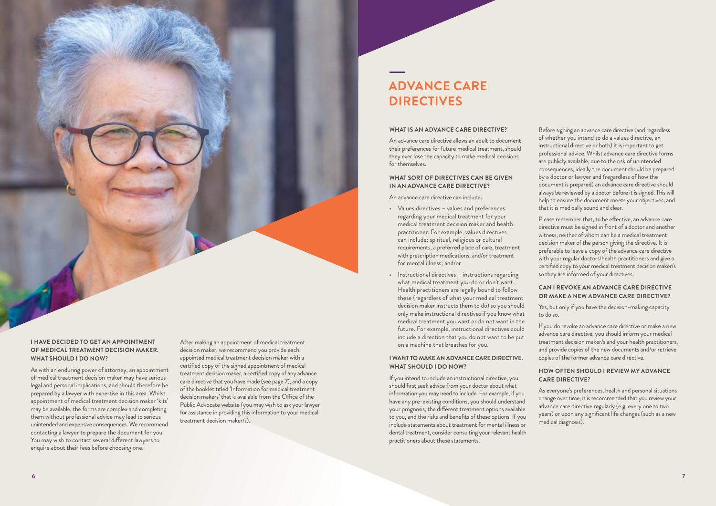#### **WHAT IS AN ADVANCE CARE DIRECTIVE?**

An advance care directive allows an adult to document their preferences for future medical treatment, should they ever lose the capacity to make medical decisions for themselves.

#### **WHAT SORT OF DIRECTIVES CAN BE GIVEN IN AN ADVANCE CARE DIRECTIVE?**

An advance care directive can include:

- Values directives values and preferences regarding your medical treatment for your medical treatment decision maker and health practitioner. For example, values directives can include: spiritual, religious or cultural requirements, a preferred place of care, treatment with prescription medications, and/or treatment for mental illness; and/or
- Instructional directives instructions regarding what medical treatment you do or don't want. Health practitioners are legally bound to follow these (regardless of what your medical treatment decision maker instructs them to do) so you should only make instructional directives if you know what medical treatment you want or do not want in the future. For example, instructional directives could include a direction that you do not want to be put on a machine that breathes for you.

#### **I WANT TO MAKE AN ADVANCE CARE DIRECTIVE. WHAT SHOULD I DO NOW?**

If you intend to include an instructional directive, you should first seek advice from your doctor about what information you may need to include. For example, if you have any pre-existing conditions, you should understand your prognosis, the different treatment options available to you, and the risks and benefits of these options. If you include statements about treatment for mental illness or dental treatment, consider consulting your relevant health practitioners about these statements.

Before signing an advance care directive (and regardless of whether you intend to do a values directive, an instructional directive or both) it is important to get professional advice. Whilst advance care directive forms are publicly available, due to the risk of unintended consequences, ideally the document should be prepared by a doctor or lawyer and (regardless of how the document is prepared) an advance care directive should always be reviewed by a doctor before it is signed. This will help to ensure the document meets your objectives, and that it is medically sound and clear.

Please remember that, to be effective, an advance care directive must be signed in front of a doctor and another witness, neither of whom can be a medical treatment decision maker of the person giving the directive. It is preferable to leave a copy of the advance care directive with your regular doctors/health practitioners and give a certified copy to your medical treatment decision maker/s so they are informed of your directives.

#### **CAN I REVOKE AN ADVANCE CARE DIRECTIVE OR MAKE A NEW ADVANCE CARE DIRECTIVE?**

Yes, but only if you have the decision-making capacity to do so.

If you do revoke an advance care directive or make a new advance care directive, you should inform your medical treatment decision maker/s and your health practitioners, and provide copies of the new documents and/or retrieve copies of the former advance care directive.

#### **HOW OFTEN SHOULD I REVIEW MY ADVANCE CARE DIRECTIVE?**

As everyone's preferences, health and personal situations change over time, it is recommended that you review your advance care directive regularly (e.g. every one to two years) or upon any significant life changes (such as a new medical diagnosis).

### **ADVANCE CARE DIRECTIVES**

#### **I HAVE DECIDED TO GET AN APPOINTMENT OF MEDICAL TREATMENT DECISION MAKER. WHAT SHOULD I DO NOW?**

As with an enduring power of attorney, an appointment of medical treatment decision maker may have serious legal and personal implications, and should therefore be prepared by a lawyer with expertise in this area. Whilst appointment of medical treatment decision maker 'kits' may be available, the forms are complex and completing them without professional advice may lead to serious unintended and expensive consequences. We recommend contacting a lawyer to prepare the document for you. You may wish to contact several different lawyers to enquire about their fees before choosing one.

After making an appointment of medical treatment decision maker, we recommend you provide each appointed medical treatment decision maker with a certified copy of the signed appointment of medical treatment decision maker, a certified copy of any advance care directive that you have made (see page 7), and a copy of the booklet titled 'Information for medical treatment decision makers' that is available from the Office of the Public Advocate website (you may wish to ask your lawyer for assistance in providing this information to your medical treatment decision maker/s).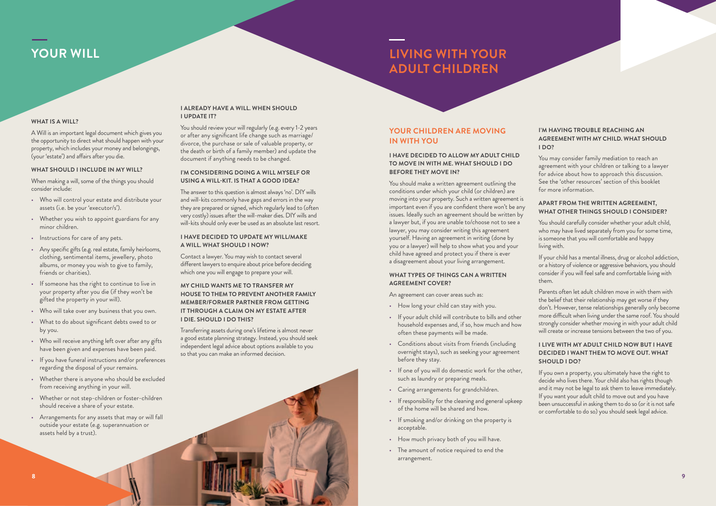#### **WHAT IS A WILL?**

A Will is an important legal document which gives you the opportunity to direct what should happen with your property, which includes your money and belongings, (your 'estate') and affairs after you die.

#### **WHAT SHOULD I INCLUDE IN MY WILL?**

When making a will, some of the things you should consider include:

- Who will control your estate and distribute your assets (i.e. be your 'executor/s').
- Whether you wish to appoint guardians for any minor children.
- Instructions for care of any pets.
- Any specific gifts (e.g. real estate, family heirlooms, clothing, sentimental items, jewellery, photo albums, or money you wish to give to family, friends or charities).
- If someone has the right to continue to live in your property after you die (if they won't be gifted the property in your will).
- Who will take over any business that you own.
- What to do about significant debts owed to or by you.
- Who will receive anything left over after any gifts have been given and expenses have been paid.
- If you have funeral instructions and/or preferences regarding the disposal of your remains.
- Whether there is anyone who should be excluded from receiving anything in your will.
- Whether or not step-children or foster-children should receive a share of your estate.
- Arrangements for any assets that may or will fall outside your estate (e.g. superannuation or assets held by a trust).

#### **I ALREADY HAVE A WILL. WHEN SHOULD I UPDATE IT?**

You should review your will regularly (e.g. every 1-2 years or after any significant life change such as marriage/ divorce, the purchase or sale of valuable property, or the death or birth of a family member) and update the document if anything needs to be changed.

#### **I'M CONSIDERING DOING A WILL MYSELF OR USING A WILL-KIT. IS THAT A GOOD IDEA?**

The answer to this question is almost always 'no'. DIY wills and will-kits commonly have gaps and errors in the way they are prepared or signed, which regularly lead to (often very costly) issues after the will-maker dies. DIY wills and will-kits should only ever be used as an absolute last resort.

#### **I HAVE DECIDED TO UPDATE MY WILL/MAKE A WILL. WHAT SHOULD I NOW?**

Contact a lawyer. You may wish to contact several different lawyers to enquire about price before deciding which one you will engage to prepare your will.

You should carefully consider whether your adult child, who may have lived separately from you for some time, is someone that you will comfortable and happy living with.

#### **MY CHILD WANTS ME TO TRANSFER MY HOUSE TO THEM TO PREVENT ANOTHER FAMILY MEMBER/FORMER PARTNER FROM GETTING IT THROUGH A CLAIM ON MY ESTATE AFTER I DIE. SHOULD I DO THIS?**

Transferring assets during one's lifetime is almost never a good estate planning strategy. Instead, you should seek independent legal advice about options available to you so that you can make an informed decision.

#### **YOUR CHILDREN ARE MOVING IN WITH YOU**

#### **I HAVE DECIDED TO ALLOW MY ADULT CHILD TO MOVE IN WITH ME. WHAT SHOULD I DO BEFORE THEY MOVE IN?**

You should make a written agreement outlining the conditions under which your child (or children) are moving into your property. Such a written agreement is important even if you are confident there won't be any issues. Ideally such an agreement should be written by a lawyer but, if you are unable to/choose not to see a lawyer, you may consider writing this agreement yourself. Having an agreement in writing (done by you or a lawyer) will help to show what you and your child have agreed and protect you if there is ever a disagreement about your living arrangement.

#### **WHAT TYPES OF THINGS CAN A WRITTEN AGREEMENT COVER?**

An agreement can cover areas such as:

- How long your child can stay with you.
- If your adult child will contribute to bills and other household expenses and, if so, how much and how often these payments will be made.
- Conditions about visits from friends (including overnight stays), such as seeking your agreement before they stay.
- If one of you will do domestic work for the other, such as laundry or preparing meals.
- Caring arrangements for grandchildren.
- If responsibility for the cleaning and general upkeep of the home will be shared and how.
- If smoking and/or drinking on the property is acceptable.
- How much privacy both of you will have.
- The amount of notice required to end the arrangement.

#### **I'M HAVING TROUBLE REACHING AN AGREEMENT WITH MY CHILD. WHAT SHOULD I DO?**

You may consider family mediation to reach an agreement with your children or talking to a lawyer for advice about how to approach this discussion. See the 'other resources' section of this booklet for more information.

#### **APART FROM THE WRITTEN AGREEMENT, WHAT OTHER THINGS SHOULD I CONSIDER?**

If your child has a mental illness, drug or alcohol addiction, or a history of violence or aggressive behaviors, you should consider if you will feel safe and comfortable living with them.

Parents often let adult children move in with them with the belief that their relationship may get worse if they don't. However, tense relationships generally only become more difficult when living under the same roof. You should strongly consider whether moving in with your adult child will create or increase tensions between the two of you.

#### **I LIVE WITH MY ADULT CHILD NOW BUT I HAVE DECIDED I WANT THEM TO MOVE OUT. WHAT SHOULD I DO?**

If you own a property, you ultimately have the right to decide who lives there. Your child also has rights though and it may not be legal to ask them to leave immediately. If you want your adult child to move out and you have been unsuccessful in asking them to do so (or it is not safe or comfortable to do so) you should seek legal advice.

### **LIVING WITH YOUR ADULT CHILDREN**

### **YOUR WILL**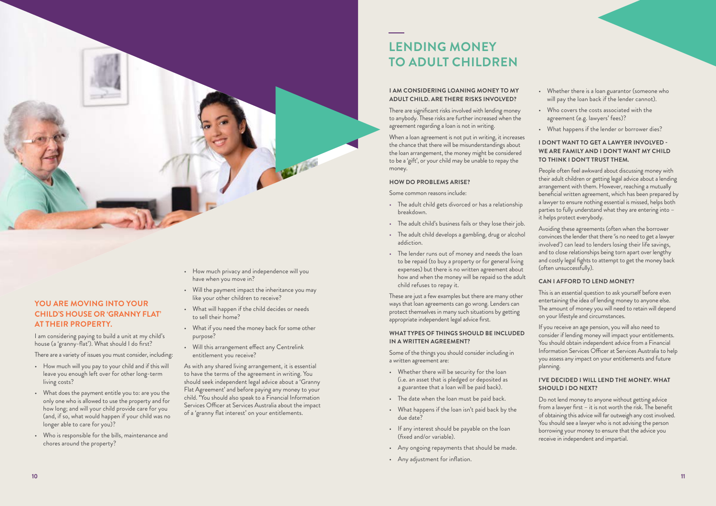

#### **YOU ARE MOVING INTO YOUR CHILD'S HOUSE OR 'GRANNY FLAT' AT THEIR PROPERTY.**

I am considering paying to build a unit at my child's house (a 'granny-flat'). What should I do first?

There are a variety of issues you must consider, including:

- How much will you pay to your child and if this will leave you enough left over for other long-term living costs?
- What does the payment entitle you to: are you the only one who is allowed to use the property and for how long; and will your child provide care for you (and, if so, what would happen if your child was no longer able to care for you)?
- Who is responsible for the bills, maintenance and chores around the property?
- How much privacy and independence will you have when you move in?
- Will the payment impact the inheritance you may like your other children to receive?
- What will happen if the child decides or needs to sell their home?
- What if you need the money back for some other purpose?
- Will this arrangement effect any Centrelink entitlement you receive?

As with any shared living arrangement, it is essential to have the terms of the agreement in writing. You should seek independent legal advice about a 'Granny Flat Agreement' and before paying any money to your child. \*You should also speak to a Financial Information Services Officer at Services Australia about the impact of a 'granny flat interest' on your entitlements.

#### **I AM CONSIDERING LOANING MONEY TO MY ADULT CHILD. ARE THERE RISKS INVOLVED?**

There are significant risks involved with lending money to anybody. These risks are further increased when the agreement regarding a loan is not in writing.

When a loan agreement is not put in writing, it increases the chance that there will be misunderstandings about the loan arrangement, the money might be considered to be a 'gift', or your child may be unable to repay the money.

#### **HOW DO PROBLEMS ARISE?**

Some common reasons include:

- The adult child gets divorced or has a relationship breakdown.
- The adult child's business fails or they lose their job.
- The adult child develops a gambling, drug or alcohol addiction.
- The lender runs out of money and needs the loan to be repaid (to buy a property or for general living expenses) but there is no written agreement about how and when the money will be repaid so the adult child refuses to repay it.

These are just a few examples but there are many other ways that loan agreements can go wrong. Lenders can protect themselves in many such situations by getting appropriate independent legal advice first.

#### **WHAT TYPES OF THINGS SHOULD BE INCLUDED IN A WRITTEN AGREEMENT?**

Some of the things you should consider including in a written agreement are:

- Whether there will be security for the loan (i.e. an asset that is pledged or deposited as a guarantee that a loan will be paid back).
- The date when the loan must be paid back.
- What happens if the loan isn't paid back by the due date?
- If any interest should be payable on the loan (fixed and/or variable).
- Any ongoing repayments that should be made.
- Any adjustment for inflation.
- Whether there is a loan guarantor (someone who will pay the loan back if the lender cannot).
- Who covers the costs associated with the agreement (e.g. lawyers' fees)?
- What happens if the lender or borrower dies?

#### **I DON'T WANT TO GET A LAWYER INVOLVED - WE ARE FAMILY AND I DON'T WANT MY CHILD TO THINK I DON'T TRUST THEM.**

People often feel awkward about discussing money with their adult children or getting legal advice about a lending arrangement with them. However, reaching a mutually beneficial written agreement, which has been prepared by a lawyer to ensure nothing essential is missed, helps both parties to fully understand what they are entering into – it helps protect everybody.

Avoiding these agreements (often when the borrower convinces the lender that there 'is no need to get a lawyer involved') can lead to lenders losing their life savings, and to close relationships being torn apart over lengthy and costly legal fights to attempt to get the money back (often unsuccessfully).

#### **CAN I AFFORD TO LEND MONEY?**

This is an essential question to ask yourself before even entertaining the idea of lending money to anyone else. The amount of money you will need to retain will depend on your lifestyle and circumstances.

If you receive an age pension, you will also need to consider if lending money will impact your entitlements. You should obtain independent advice from a Financial Information Services Officer at Services Australia to help you assess any impact on your entitlements and future planning.

#### **I'VE DECIDED I WILL LEND THE MONEY. WHAT SHOULD I DO NEXT?**

Do not lend money to anyone without getting advice from a lawyer first – it is not worth the risk. The benefit of obtaining this advice will far outweigh any cost involved. You should see a lawyer who is not advising the person borrowing your money to ensure that the advice you receive in independent and impartial.

### **LENDING MONEY TO ADULT CHILDREN**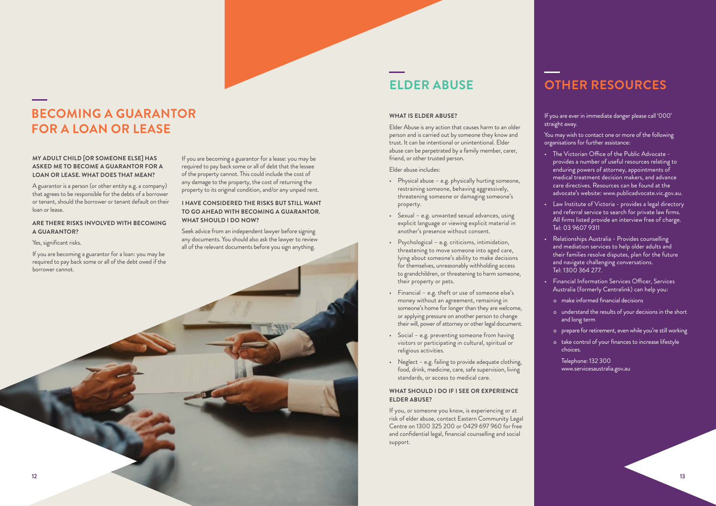#### **WHAT IS ELDER ABUSE?**

Elder Abuse is any action that causes harm to an older person and is carried out by someone they know and trust. It can be intentional or unintentional. Elder abuse can be perpetrated by a family member, carer, friend, or other trusted person.

Elder abuse includes:

- Physical abuse e.g. physically hurting someone, restraining someone, behaving aggressively, threatening someone or damaging someone's property.
- Sexual e.g. unwanted sexual advances, using explicit language or viewing explicit material in another's presence without consent.
- Psychological e.g. criticisms, intimidation, threatening to move someone into aged care, lying about someone's ability to make decisions for themselves, unreasonably withholding access to grandchildren, or threatening to harm someone, their property or pets.
- Financial e.g. theft or use of someone else's money without an agreement, remaining in someone's home for longer than they are welcome, or applying pressure on another person to change their will, power of attorney or other legal document.
- Social e.g. preventing someone from having visitors or participating in cultural, spiritual or religious activities.
- Neglect e.g. failing to provide adequate clothing, food, drink, medicine, care, safe supervision, living standards, or access to medical care.

#### **WHAT SHOULD I DO IF I SEE OR EXPERIENCE ELDER ABUSE?**

If you, or someone you know, is experiencing or at risk of elder abuse, contact Eastern Community Legal Centre on 1300 325 200 or 0429 697 960 for free and confidential legal, financial counselling and social support.

If you are ever in immediate danger please call '000' straight away.

You may wish to contact one or more of the following organisations for further assistance:

- The Victorian Office of the Public Advocate provides a number of useful resources relating to enduring powers of attorney, appointments of medical treatment decision makers, and advance care directives. Resources can be found at the advocate's website: www.publicadvocate.vic.gov.au.
- Law Institute of Victoria provides a legal directory and referral service to search for private law firms. All firms listed provide an interview free of charge. Tel: 03 9607 9311
- Relationships Australia Provides counselling and mediation services to help older adults and their families resolve disputes, plan for the future and navigate challenging conversations. Tel: 1300 364 277.
- Financial Information Services Officer, Services Australia (formerly Centrelink) can help you:
	- o make informed financial decisions
	- o understand the results of your decisions in the short and long term
	- o prepare for retirement, even while you're still working
	- o take control of your finances to increase lifestyle choices.

 Telephone: 132 300 www.servicesaustralia.gov.au

#### **MY ADULT CHILD [OR SOMEONE ELSE] HAS ASKED ME TO BECOME A GUARANTOR FOR A LOAN OR LEASE. WHAT DOES THAT MEAN?**

A guarantor is a person (or other entity e.g. a company) that agrees to be responsible for the debts of a borrower or tenant, should the borrower or tenant default on their loan or lease.

#### **ARE THERE RISKS INVOLVED WITH BECOMING A GUARANTOR?**

Yes, significant risks.

If you are becoming a guarantor for a lease: you may be required to pay back some or all of debt that the lessee of the property cannot. This could include the cost of any damage to the property, the cost of returning the property to its original condition, and/or any unpaid rent.



#### **I HAVE CONSIDERED THE RISKS BUT STILL WANT TO GO AHEAD WITH BECOMING A GUARANTOR. WHAT SHOULD I DO NOW?**

Seek advice from an independent lawyer before signing any documents. You should also ask the lawyer to review all of the relevant documents before you sign anything.

### **BECOMING A GUARANTOR FOR A LOAN OR LEASE**

## **ELDER ABUSE OTHER RESOURCES**